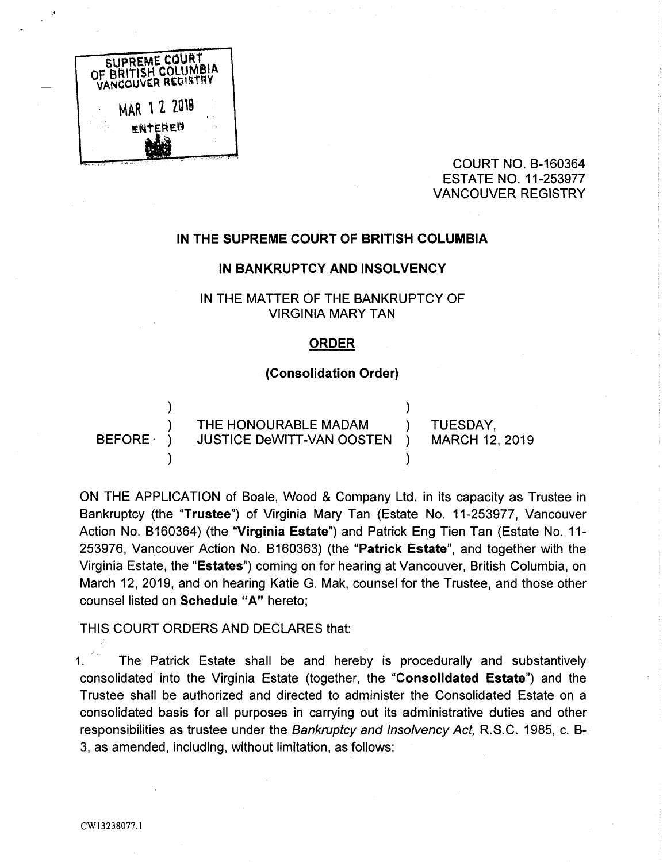

COURT NO. B-160364 ESTATE NO. 11-253977 VANCOUVER REGISTRY

# IN THE SUPREME COURT OF BRITISH COLUMBIA

#### IN BANKRUPTCY AND INSOLVENCY

# IN THE MATTER OF THE BANKRUPTCY OF VIRGINIA MARY TAN

#### ORDER

## (Consolidation Order)

THE HONOURABLE MADAM (CONDESDAY, 10019)<br>JUSTICE DeWITT-VAN OOSTEN (CONARCH 12, 2019) BEFORE ) JUSTICE DeWITT-VAN OOSTEN )

 $\lambda$ 

ON THE APPLICATION of Boale, Wood & Company Ltd. in its capacity as Trustee in Bankruptcy (the "Trustee") of Virginia Mary Tan (Estate No. 11-253977, Vancouver Action No. 6160364) (the "Virginia Estate") and Patrick Eng Tien Tan (Estate No. 11- 253976, Vancouver Action No. B160363) (the "Patrick Estate", and together with the Virginia Estate, the "Estates") coming on for hearing at Vancouver, British Columbia, on March 12, 2019, and on hearing Katie G. Mak, counsel for the Trustee, and those other counsel listed on Schedule "A" hereto;

# THIS COURT ORDERS AND DECLARES that:

1. The Patrick Estate shall be and hereby is procedurally and substantively consolidated into the Virginia Estate (together, the "Consolidated Estate") and the Trustee shall be authorized and directed to administer the Consolidated Estate on a consolidated basis for all purposes in carrying out its administrative duties and other responsibilities as trustee under the Bankruptcy and Insolvency Act, R.S.C. 1985, c. B-3, as amended, including, without limitation, as follows: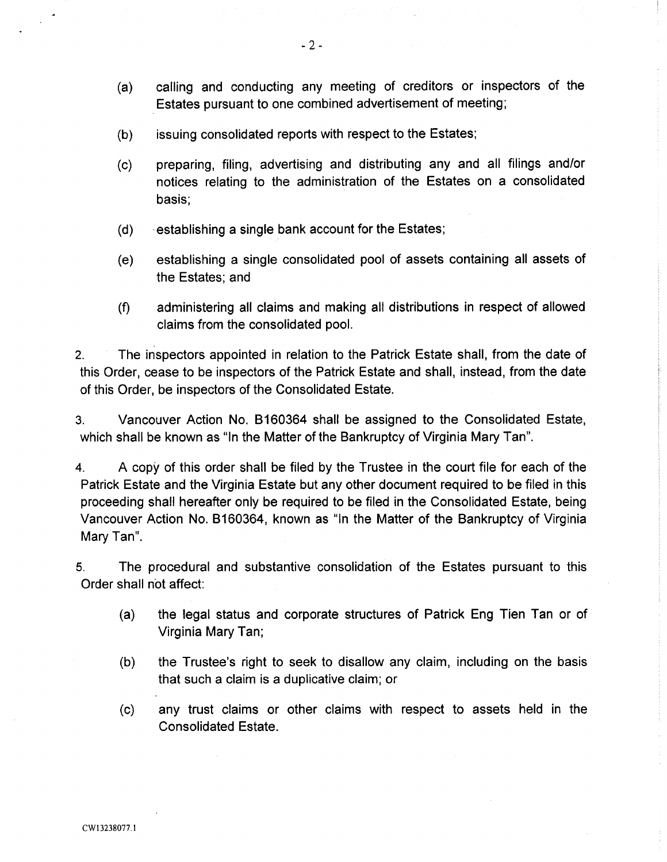- (a) calling and conducting any meeting of creditors or inspectors of the Estates pursuant to one combined advertisement of meeting;
- (b) issuing consolidated reports with respect to the Estates;
- (c) preparing, filing, advertising and distributing any and all filings and/or notices relating to the administration of the Estates on a consolidated basis;
- (d) ~ establishing a single bank account for the Estates;
- (e) establishing a single consolidated pool of assets containing all assets of the Estates; and
- (fl administering all claims and making all distributions in respect of allowed claims from the consolidated pool.

2. The inspectors appointed in relation to the Patrick Estate shall, from the date of this Order, cease to be inspectors of the Patrick Estate and shall, instead, from the date of this Order, be inspectors of the Consolidated Estate.

3. Vancouver. Action No. 6160364 shall be assigned to the Consolidated Estate, which shall be known as "In the Matter of the Bankruptcy of Virginia Mary Tan".

4. A copy of this order shall be filed by the Trustee in the court file for each of the Patrick Estate and the Virginia Estate but any other document required to be filed in this proceeding shall hereafter only be required to be filed in the Consolidated Estate, being Vancouver Action No. 6160364, known as "In the Matter of the Bankruptcy of Virginia Mary Tan".

5. The procedural and substantive consolidation of the Estates pursuant to this Order shall not affect:

- (a) the legal status and corporate structures of Patrick Eng Tien Tan or of Virginia Mary Tan;
- (b) the Trustee's right to seek to disallow any claim, including on the basis that such a claim is a duplicative claim; or
- (c) any trust claims or other claims with respect to assets held in the Consolidated Estate.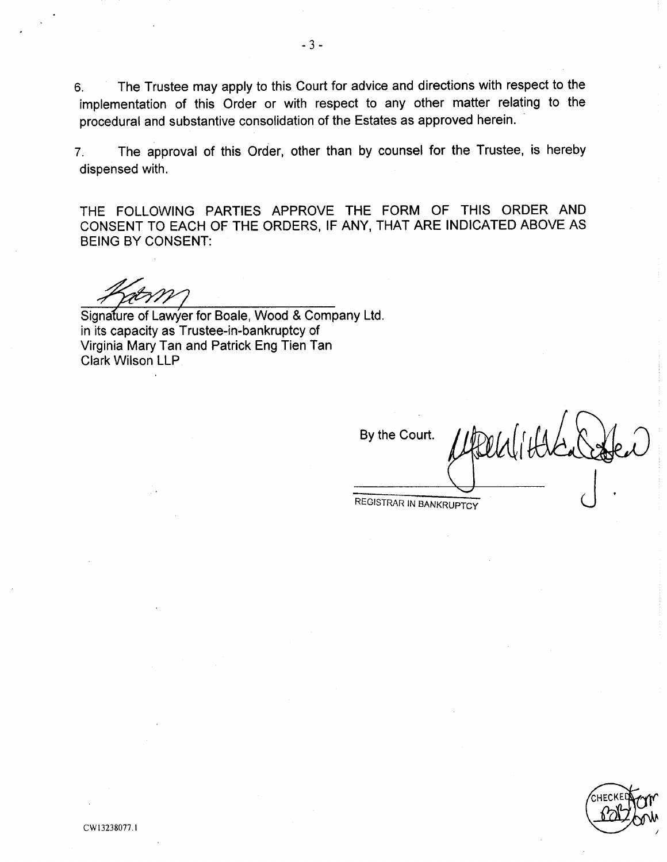6. The Trustee may apply to this Court for advice and directions with respect to the implementation of this Order or with respect to any other matter relating to the procedural and substantive consolidation of the Estates as approved herein.

7. The approval of this Order, other than by counsel for the Trustee, is hereby dispensed with.

THE FOLLOWING PARTIES APPROVE THE FORM OF THIS ORDER AND CONSENT TO EACH OF THE ORDERS, IF ANY, THAT ARE INDICATED ABOVE AS BEING BY CONSENT:

Signature of Lawyer for Boale, Wood & Company Ltd. in its capacity as Trustee-in-bankruptcy of Virginia Mary Tan and Patrick Eng Tien Tan Clark Wilson LLP.

By the Court. Affect of the

REGISTRAR IN BANKRUPTCY